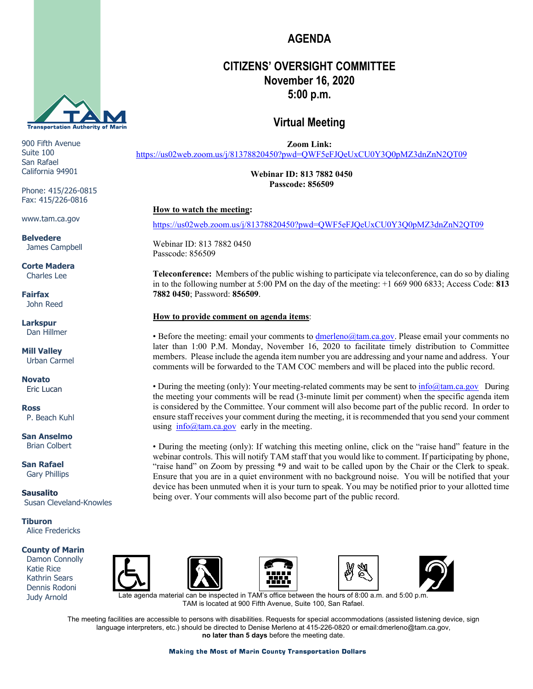

900 Fifth Avenue Suite 100 San Rafael California 94901

Phone: 415/226-0815 Fax: 415/226-0816

www.tam.ca.gov

**Belvedere** James Campbell

**Corte Madera** Charles Lee

**Fairfax** John Reed

**Larkspur** Dan Hillmer

**Mill Valley** Urban Carmel

**Novato** Eric Lucan

**Ross** P. Beach Kuhl

**San Anselmo** Brian Colbert

**San Rafael** Gary Phillips

**Sausalito** Susan Cleveland-Knowles

**Tiburon** Alice Fredericks

#### **County of Marin**

 Damon Connolly Katie Rice Kathrin Sears Dennis Rodoni Judy Arnold











ate agenda material can be inspected in TAM's office between the hours of 8:00 a.m. and 5:00 p. TAM is located at 900 Fifth Avenue, Suite 100, San Rafael.

The meeting facilities are accessible to persons with disabilities. Requests for special accommodations (assisted listening device, sign language interpreters, etc.) should be directed to Denise Merleno at 415-226-0820 or email:dmerleno@tam.ca.gov, **no later than 5 days** before the meeting date.

# **CITIZENS' OVERSIGHT COMMITTEE November 16, 2020**

**5:00 p.m.**

**AGENDA**

### **Virtual Meeting**

**Zoom Link:** 

<https://us02web.zoom.us/j/81378820450?pwd=QWF5eFJQeUxCU0Y3Q0pMZ3dnZnN2QT09>

**Webinar ID: 813 7882 0450 Passcode: 856509**

### **How to watch the meeting:**

<https://us02web.zoom.us/j/81378820450?pwd=QWF5eFJQeUxCU0Y3Q0pMZ3dnZnN2QT09>

Webinar ID: 813 7882 0450 Passcode: 856509

**Teleconference:** Members of the public wishing to participate via teleconference, can do so by dialing in to the following number at 5:00 PM on the day of the meeting: +1 669 900 6833; Access Code: **813 7882 0450**; Password: **856509**.

#### **How to provide comment on agenda items**:

• Before the meeting: email your comments t[o dmerleno@tam.ca.gov.](mailto:dmerleno@tam.ca.gov) Please email your comments no later than 1:00 P.M. Monday, November 16, 2020 to facilitate timely distribution to Committee members. Please include the agenda item number you are addressing and your name and address. Your comments will be forwarded to the TAM COC members and will be placed into the public record.

• During the meeting (only): Your meeting-related comments may be sent to  $\frac{info@tam.ca.gov}{info@tam.ca.gov}$  During the meeting your comments will be read (3-minute limit per comment) when the specific agenda item is considered by the Committee. Your comment will also become part of the public record. In order to ensure staff receives your comment during the meeting, it is recommended that you send your comment using  $\frac{info(@tam.ca.gov)}{img}$  early in the meeting.

• During the meeting (only): If watching this meeting online, click on the "raise hand" feature in the webinar controls. This will notify TAM staff that you would like to comment. If participating by phone, "raise hand" on Zoom by pressing \*9 and wait to be called upon by the Chair or the Clerk to speak. Ensure that you are in a quiet environment with no background noise. You will be notified that your device has been unmuted when it is your turn to speak. You may be notified prior to your allotted time being over. Your comments will also become part of the public record.